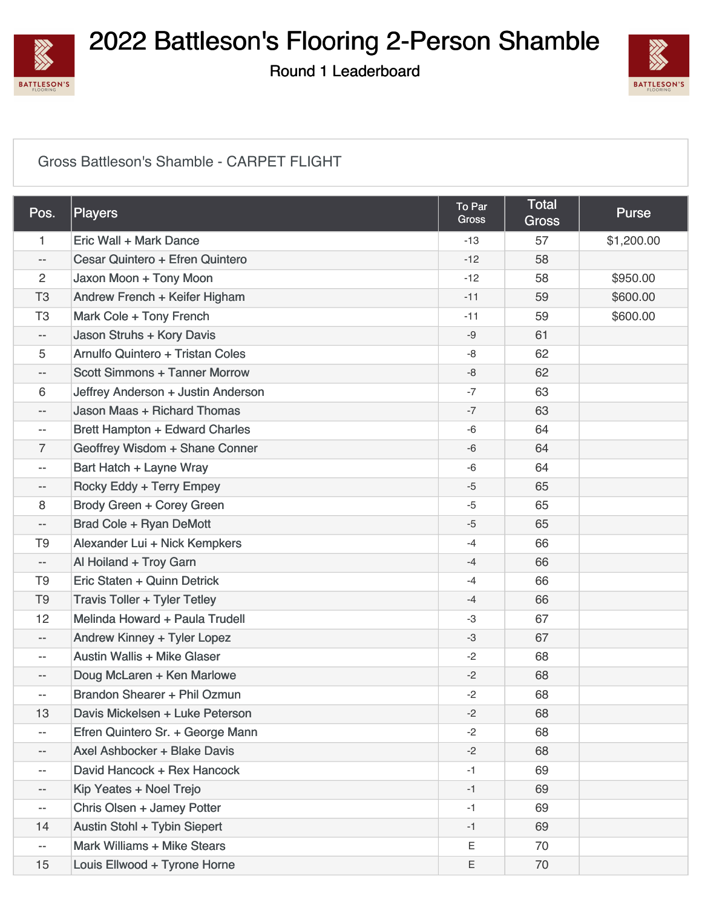

Round 1 Leaderboard



#### [Gross Battleson's Shamble - CARPET FLIGHT](https://static.golfgenius.com/v2tournaments/8567300177767973121?called_from=&round_index=1)

| Pos.                     | Players                               | To Par<br><b>Gross</b> | <b>Total</b><br><b>Gross</b> | <b>Purse</b> |
|--------------------------|---------------------------------------|------------------------|------------------------------|--------------|
| 1                        | Eric Wall + Mark Dance                | $-13$                  | 57                           | \$1,200.00   |
| --                       | Cesar Quintero + Efren Quintero       | $-12$                  | 58                           |              |
| $\overline{c}$           | Jaxon Moon + Tony Moon                | $-12$                  | 58                           | \$950.00     |
| T <sub>3</sub>           | Andrew French + Keifer Higham         | $-11$                  | 59                           | \$600.00     |
| T <sub>3</sub>           | Mark Cole + Tony French               | $-11$                  | 59                           | \$600.00     |
| $-$                      | Jason Struhs + Kory Davis             | $-9$                   | 61                           |              |
| 5                        | Arnulfo Quintero + Tristan Coles      | -8                     | 62                           |              |
| $-$                      | <b>Scott Simmons + Tanner Morrow</b>  | -8                     | 62                           |              |
| 6                        | Jeffrey Anderson + Justin Anderson    | $-7$                   | 63                           |              |
| --                       | <b>Jason Maas + Richard Thomas</b>    | $-7$                   | 63                           |              |
| $\overline{\phantom{a}}$ | <b>Brett Hampton + Edward Charles</b> | $-6$                   | 64                           |              |
| 7                        | Geoffrey Wisdom + Shane Conner        | $-6$                   | 64                           |              |
| $-$                      | Bart Hatch + Layne Wray               | $-6$                   | 64                           |              |
| $-$                      | Rocky Eddy + Terry Empey              | $-5$                   | 65                           |              |
| 8                        | Brody Green + Corey Green             | $-5$                   | 65                           |              |
| $-\,-$                   | <b>Brad Cole + Ryan DeMott</b>        | $-5$                   | 65                           |              |
| T <sub>9</sub>           | Alexander Lui + Nick Kempkers         | -4                     | 66                           |              |
| $\overline{\phantom{a}}$ | Al Hoiland + Troy Garn                | $-4$                   | 66                           |              |
| T <sub>9</sub>           | Eric Staten + Quinn Detrick           | $-4$                   | 66                           |              |
| T <sub>9</sub>           | <b>Travis Toller + Tyler Tetley</b>   | -4                     | 66                           |              |
| 12                       | Melinda Howard + Paula Trudell        | -3                     | 67                           |              |
| $-$                      | Andrew Kinney + Tyler Lopez           | $-3$                   | 67                           |              |
| $-$                      | <b>Austin Wallis + Mike Glaser</b>    | $-2$                   | 68                           |              |
| $-$                      | Doug McLaren + Ken Marlowe            | $-2$                   | 68                           |              |
| $-$                      | Brandon Shearer + Phil Ozmun          | $-2$                   | 68                           |              |
| 13                       | Davis Mickelsen + Luke Peterson       | $-2$                   | 68                           |              |
| $-$                      | Efren Quintero Sr. + George Mann      | $-2$                   | 68                           |              |
| $\overline{\phantom{a}}$ | Axel Ashbocker + Blake Davis          | $-2$                   | 68                           |              |
| $\overline{\phantom{a}}$ | David Hancock + Rex Hancock           | $-1$                   | 69                           |              |
| $- -$                    | Kip Yeates + Noel Trejo               | $-1$                   | 69                           |              |
| $\overline{\phantom{m}}$ | Chris Olsen + Jamey Potter            | $-1$                   | 69                           |              |
| 14                       | Austin Stohl + Tybin Siepert          | $-1$                   | 69                           |              |
| $\overline{\phantom{m}}$ | Mark Williams + Mike Stears           | E                      | 70                           |              |
| 15                       | Louis Ellwood + Tyrone Horne          | Ε                      | 70                           |              |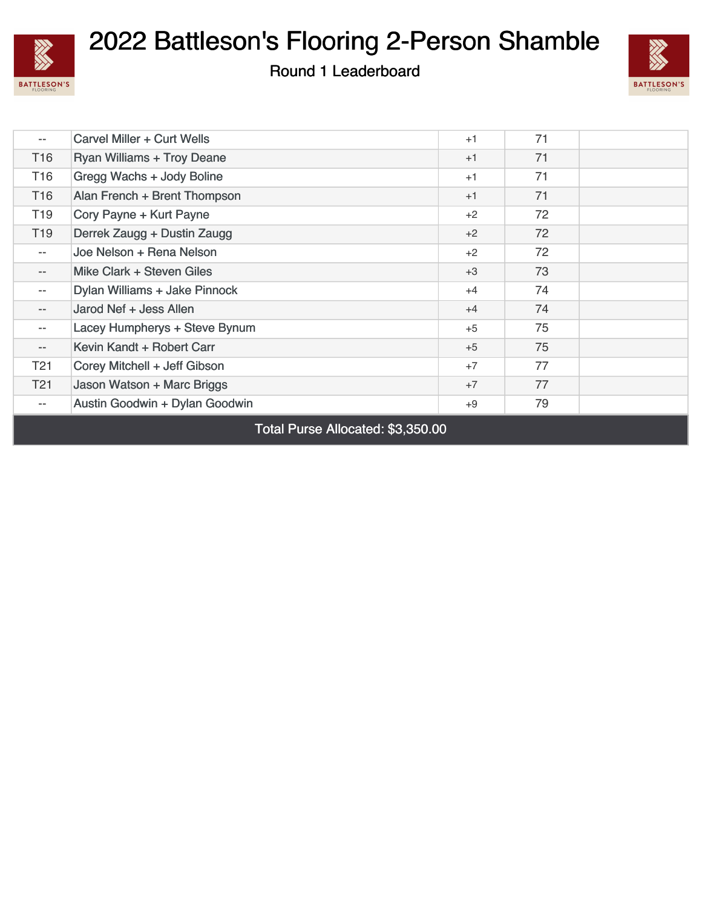

Round 1 Leaderboard



| $- -$                    | Carvel Miller + Curt Wells        | $+1$ | 71 |  |
|--------------------------|-----------------------------------|------|----|--|
| T <sub>16</sub>          | <b>Ryan Williams + Troy Deane</b> | $+1$ | 71 |  |
| T16                      | Gregg Wachs + Jody Boline         | $+1$ | 71 |  |
| T <sub>16</sub>          | Alan French + Brent Thompson      | $+1$ | 71 |  |
| T19                      | Cory Payne + Kurt Payne           | $+2$ | 72 |  |
| T <sub>19</sub>          | Derrek Zaugg + Dustin Zaugg       | $+2$ | 72 |  |
| $- -$                    | Joe Nelson + Rena Nelson          | $+2$ | 72 |  |
| $- -$                    | Mike Clark + Steven Giles         | $+3$ | 73 |  |
| $\overline{\phantom{a}}$ | Dylan Williams + Jake Pinnock     | $+4$ | 74 |  |
| $\overline{\phantom{a}}$ | Jarod Nef + Jess Allen            | $+4$ | 74 |  |
| $--$                     | Lacey Humpherys + Steve Bynum     | $+5$ | 75 |  |
| $\qquad \qquad -$        | Kevin Kandt + Robert Carr         | $+5$ | 75 |  |
| T21                      | Corey Mitchell + Jeff Gibson      | $+7$ | 77 |  |
| T21                      | Jason Watson + Marc Briggs        | $+7$ | 77 |  |
| $- -$                    | Austin Goodwin + Dylan Goodwin    | $+9$ | 79 |  |

Total Purse Allocated: \$3,350.00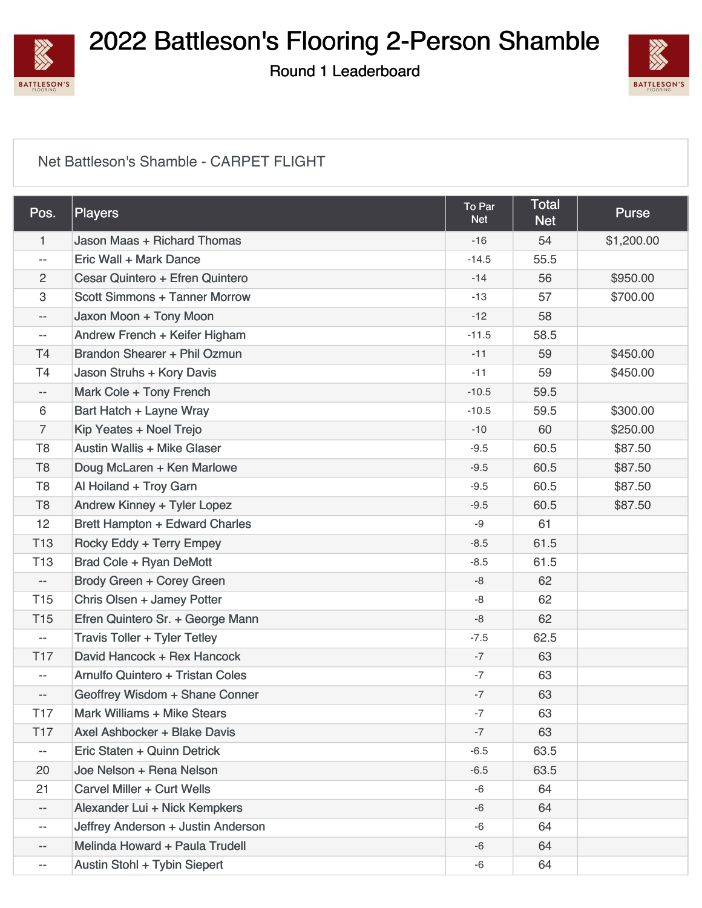

Round 1 Leaderboard



#### [Net Battleson's Shamble - CARPET FLIGHT](https://static.golfgenius.com/v2tournaments/8567300173875659008?called_from=&round_index=1)

| Pos.                     | Players                              | To Par<br><b>Net</b> | <b>Total</b><br><b>Net</b> | <b>Purse</b> |
|--------------------------|--------------------------------------|----------------------|----------------------------|--------------|
| 1                        | Jason Maas + Richard Thomas          | $-16$                | 54                         | \$1,200.00   |
| $\overline{\phantom{a}}$ | Eric Wall + Mark Dance               | $-14.5$              | 55.5                       |              |
| 2                        | Cesar Quintero + Efren Quintero      | $-14$                | 56                         | \$950.00     |
| 3                        | <b>Scott Simmons + Tanner Morrow</b> | $-13$                | 57                         | \$700.00     |
| $\overline{\phantom{m}}$ | Jaxon Moon + Tony Moon               | $-12$                | 58                         |              |
| $\overline{\phantom{m}}$ | Andrew French + Keifer Higham        | $-11.5$              | 58.5                       |              |
| T <sub>4</sub>           | Brandon Shearer + Phil Ozmun         | $-11$                | 59                         | \$450.00     |
| T <sub>4</sub>           | Jason Struhs + Kory Davis            | $-11$                | 59                         | \$450.00     |
| $-\, -$                  | Mark Cole + Tony French              | $-10.5$              | 59.5                       |              |
| 6                        | Bart Hatch + Layne Wray              | $-10.5$              | 59.5                       | \$300.00     |
| $\overline{7}$           | Kip Yeates + Noel Trejo              | $-10$                | 60                         | \$250.00     |
| T <sub>8</sub>           | Austin Wallis + Mike Glaser          | $-9.5$               | 60.5                       | \$87.50      |
| T <sub>8</sub>           | Doug McLaren + Ken Marlowe           | $-9.5$               | 60.5                       | \$87.50      |
| T <sub>8</sub>           | Al Hoiland + Troy Garn               | $-9.5$               | 60.5                       | \$87.50      |
| T <sub>8</sub>           | Andrew Kinney + Tyler Lopez          | $-9.5$               | 60.5                       | \$87.50      |
| 12                       | Brett Hampton + Edward Charles       | -9                   | 61                         |              |
| <b>T13</b>               | Rocky Eddy + Terry Empey             | $-8.5$               | 61.5                       |              |
| T <sub>13</sub>          | Brad Cole + Ryan DeMott              | $-8.5$               | 61.5                       |              |
| $-\,-$                   | Brody Green + Corey Green            | -8                   | 62                         |              |
| T <sub>15</sub>          | Chris Olsen + Jamey Potter           | -8                   | 62                         |              |
| <b>T15</b>               | Efren Quintero Sr. + George Mann     | -8                   | 62                         |              |
| $\overline{\phantom{a}}$ | <b>Travis Toller + Tyler Tetley</b>  | $-7.5$               | 62.5                       |              |
| <b>T17</b>               | David Hancock + Rex Hancock          | $-7$                 | 63                         |              |
| $\overline{\phantom{a}}$ | Arnulfo Quintero + Tristan Coles     | $-7$                 | 63                         |              |
| $\qquad \qquad -$        | Geoffrey Wisdom + Shane Conner       | $-7$                 | 63                         |              |
| T <sub>17</sub>          | Mark Williams + Mike Stears          | $-7$                 | 63                         |              |
| <b>T17</b>               | Axel Ashbocker + Blake Davis         | $-7$                 | 63                         |              |
| $- -$                    | Eric Staten + Quinn Detrick          | $-6.5$               | 63.5                       |              |
| 20                       | Joe Nelson + Rena Nelson             | $-6.5$               | 63.5                       |              |
| 21                       | Carvel Miller + Curt Wells           | -6                   | 64                         |              |
| --                       | Alexander Lui + Nick Kempkers        | $-6$                 | 64                         |              |
| --                       | Jeffrey Anderson + Justin Anderson   | -6                   | 64                         |              |
| --                       | Melinda Howard + Paula Trudell       | $-6$                 | 64                         |              |
| $-$                      | Austin Stohl + Tybin Siepert         | -6                   | 64                         |              |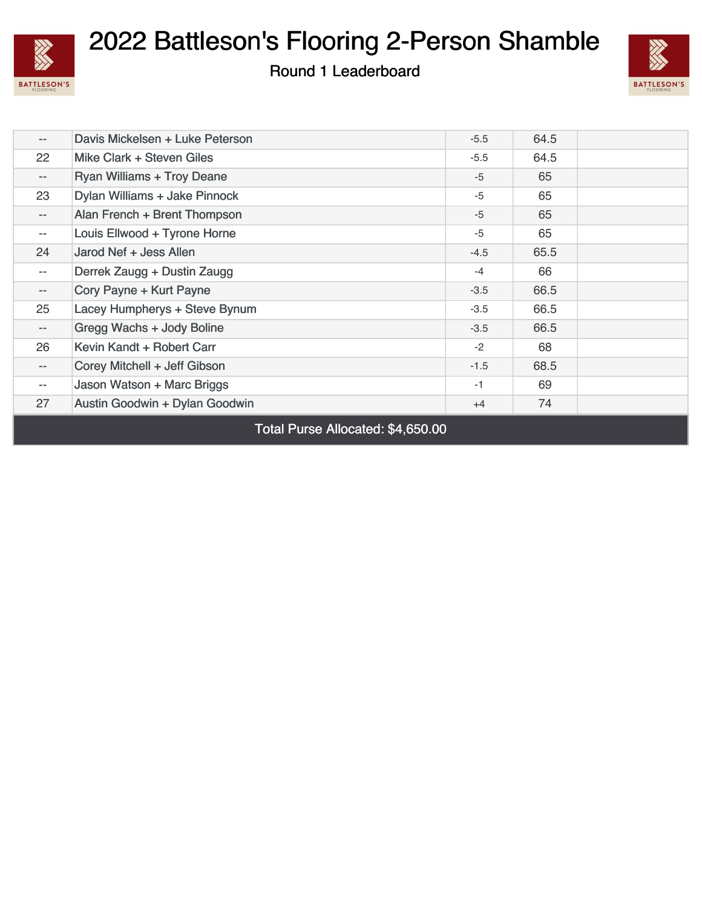

Round 1 Leaderboard



| $\qquad \qquad -$                 | Davis Mickelsen + Luke Peterson   | $-5.5$ | 64.5 |  |  |
|-----------------------------------|-----------------------------------|--------|------|--|--|
| 22                                | Mike Clark + Steven Giles         | $-5.5$ | 64.5 |  |  |
| $-\, -$                           | <b>Ryan Williams + Troy Deane</b> | $-5$   | 65   |  |  |
| 23                                | Dylan Williams + Jake Pinnock     | $-5$   | 65   |  |  |
| $\overline{\phantom{a}}$          | Alan French + Brent Thompson      | $-5$   | 65   |  |  |
| $\overline{\phantom{a}}$          | Louis Ellwood + Tyrone Horne      | $-5$   | 65   |  |  |
| 24                                | Jarod Nef + Jess Allen            | $-4.5$ | 65.5 |  |  |
| $\overline{\phantom{a}}$          | Derrek Zaugg + Dustin Zaugg       | $-4$   | 66   |  |  |
| $-\,-$                            | Cory Payne + Kurt Payne           | $-3.5$ | 66.5 |  |  |
| 25                                | Lacey Humpherys + Steve Bynum     | $-3.5$ | 66.5 |  |  |
| $\overline{\phantom{m}}$          | Gregg Wachs + Jody Boline         | $-3.5$ | 66.5 |  |  |
| 26                                | Kevin Kandt + Robert Carr         | $-2$   | 68   |  |  |
| $-\,-$                            | Corey Mitchell + Jeff Gibson      | $-1.5$ | 68.5 |  |  |
| $\overline{\phantom{m}}$          | Jason Watson + Marc Briggs        | $-1$   | 69   |  |  |
| 27                                | Austin Goodwin + Dylan Goodwin    | $+4$   | 74   |  |  |
| Total Purse Allocated: \$4,650.00 |                                   |        |      |  |  |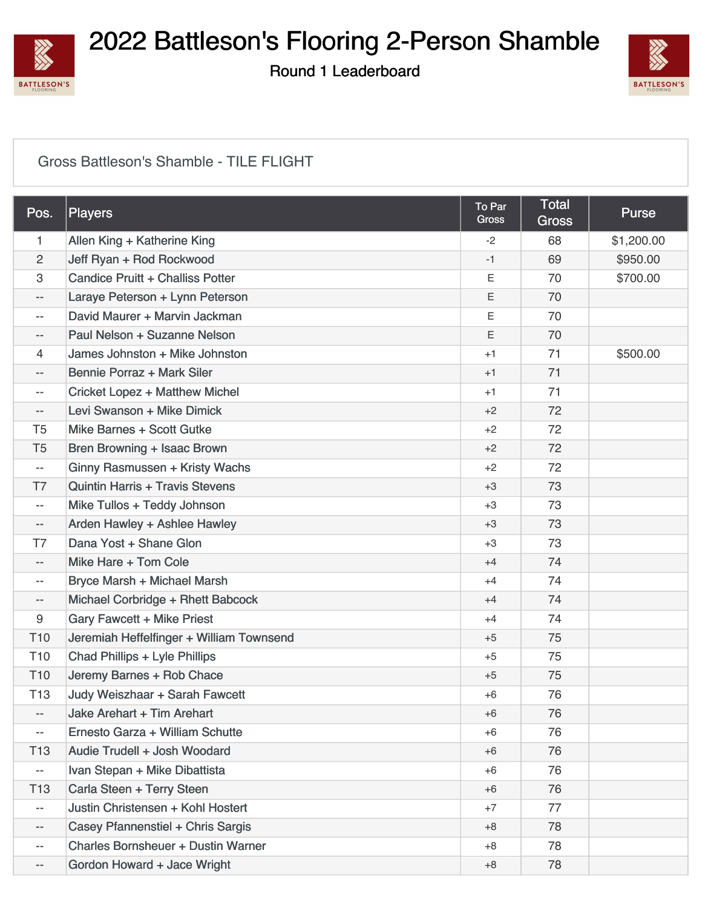

Round 1 Leaderboard



#### [Gross Battleson's Shamble - TILE FLIGHT](https://static.golfgenius.com/v2tournaments/8567300185888145668?called_from=&round_index=1)

| Pos.                     | Players                                   | To Par<br>Gross | <b>Total</b><br><b>Gross</b> | <b>Purse</b> |
|--------------------------|-------------------------------------------|-----------------|------------------------------|--------------|
| 1.                       | Allen King + Katherine King               | $-2$            | 68                           | \$1,200.00   |
| $\overline{2}$           | Jeff Ryan + Rod Rockwood                  | $-1$            | 69                           | \$950.00     |
| 3                        | Candice Pruitt + Challiss Potter          | Ε               | 70                           | \$700.00     |
| $- -$                    | Laraye Peterson + Lynn Peterson           | Ε               | 70                           |              |
| $- -$                    | David Maurer + Marvin Jackman             | Ε               | 70                           |              |
| $- -$                    | Paul Nelson + Suzanne Nelson              | E               | 70                           |              |
| 4                        | James Johnston + Mike Johnston            | $+1$            | 71                           | \$500.00     |
| $- -$                    | Bennie Porraz + Mark Siler                | $+1$            | 71                           |              |
| $- -$                    | <b>Cricket Lopez + Matthew Michel</b>     | $+1$            | 71                           |              |
| --                       | Levi Swanson + Mike Dimick                | $+2$            | 72                           |              |
| T <sub>5</sub>           | Mike Barnes + Scott Gutke                 | $+2$            | 72                           |              |
| T <sub>5</sub>           | Bren Browning + Isaac Brown               | $+2$            | 72                           |              |
| --                       | Ginny Rasmussen + Kristy Wachs            | $+2$            | 72                           |              |
| T7                       | <b>Quintin Harris + Travis Stevens</b>    | $+3$            | 73                           |              |
| --                       | Mike Tullos + Teddy Johnson               | $+3$            | 73                           |              |
| $- -$                    | Arden Hawley + Ashlee Hawley              | $+3$            | 73                           |              |
| T7                       | Dana Yost + Shane Glon                    | $+3$            | 73                           |              |
| $- -$                    | Mike Hare + Tom Cole                      | $+4$            | 74                           |              |
| $- -$                    | Bryce Marsh + Michael Marsh               | $+4$            | 74                           |              |
| $- -$                    | Michael Corbridge + Rhett Babcock         | $+4$            | 74                           |              |
| 9                        | Gary Fawcett + Mike Priest                | $+4$            | 74                           |              |
| T <sub>10</sub>          | Jeremiah Heffelfinger + William Townsend  | $+5$            | 75                           |              |
| T <sub>10</sub>          | Chad Phillips + Lyle Phillips             | $+5$            | 75                           |              |
| T <sub>10</sub>          | Jeremy Barnes + Rob Chace                 | $+5$            | 75                           |              |
| T <sub>13</sub>          | Judy Weiszhaar + Sarah Fawcett            | $+6$            | 76                           |              |
| $- -$                    | Jake Arehart + Tim Arehart                | $+6$            | 76                           |              |
| --                       | Ernesto Garza + William Schutte           | $+6$            | 76                           |              |
| T <sub>13</sub>          | Audie Trudell + Josh Woodard              | $+6$            | 76                           |              |
| --                       | Ivan Stepan + Mike Dibattista             | $+6$            | 76                           |              |
| T <sub>13</sub>          | Carla Steen + Terry Steen                 | $+6$            | 76                           |              |
| $\overline{\phantom{m}}$ | Justin Christensen + Kohl Hostert         | $+7$            | 77                           |              |
| $- -$                    | Casey Pfannenstiel + Chris Sargis         | $+8$            | 78                           |              |
| --                       | <b>Charles Bornsheuer + Dustin Warner</b> | $+8$            | 78                           |              |
| $- -$                    | Gordon Howard + Jace Wright               | $+8$            | 78                           |              |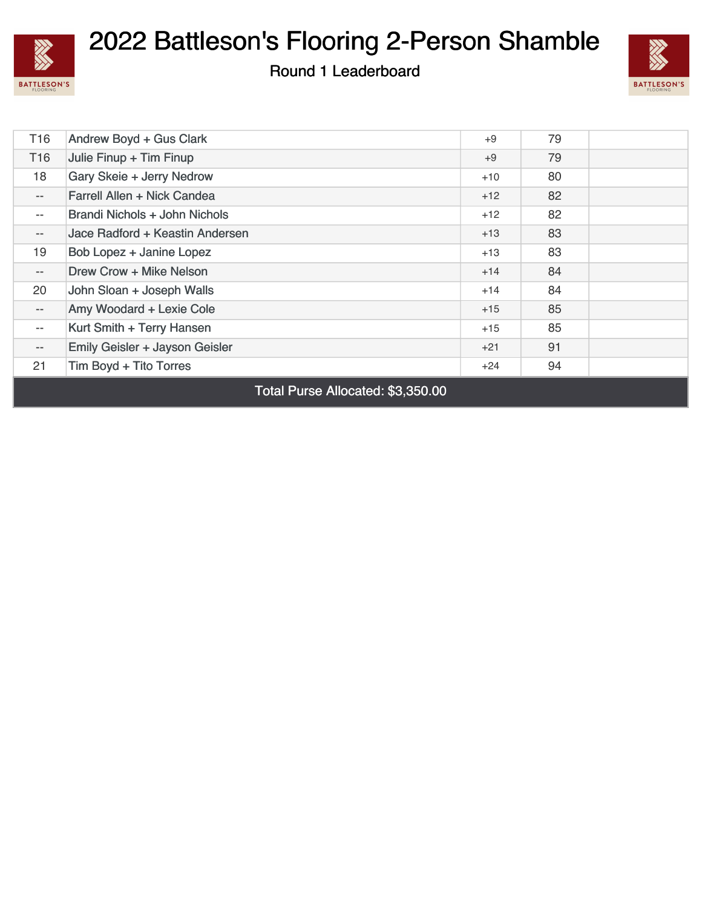

Round 1 Leaderboard



| T <sub>16</sub>                                                               | Andrew Boyd + Gus Clark         | $+9$  | 79 |  |
|-------------------------------------------------------------------------------|---------------------------------|-------|----|--|
| T <sub>16</sub>                                                               | Julie Finup + Tim Finup         | $+9$  | 79 |  |
| 18                                                                            | Gary Skeie + Jerry Nedrow       | $+10$ | 80 |  |
| $\overline{\phantom{a}}$                                                      | Farrell Allen + Nick Candea     | $+12$ | 82 |  |
| $- -$                                                                         | Brandi Nichols + John Nichols   | $+12$ | 82 |  |
| $\qquad \qquad -$                                                             | Jace Radford + Keastin Andersen | $+13$ | 83 |  |
| 19                                                                            | Bob Lopez + Janine Lopez        | $+13$ | 83 |  |
| $\overline{\phantom{a}}$                                                      | Drew Crow + Mike Nelson         | $+14$ | 84 |  |
| 20                                                                            | John Sloan + Joseph Walls       | $+14$ | 84 |  |
| $- -$                                                                         | Amy Woodard + Lexie Cole        | $+15$ | 85 |  |
| $- -$                                                                         | Kurt Smith + Terry Hansen       | $+15$ | 85 |  |
| $- -$                                                                         | Emily Geisler + Jayson Geisler  | $+21$ | 91 |  |
| 21                                                                            | Tim Boyd + Tito Torres          | +24   | 94 |  |
| $\mathbf{1}$ $\mathbf{1}$ $\mathbf{A}$ $\mathbf{A}$ $\mathbf{A}$ $\mathbf{A}$ |                                 |       |    |  |

Total Purse Allocated: \$3,350.00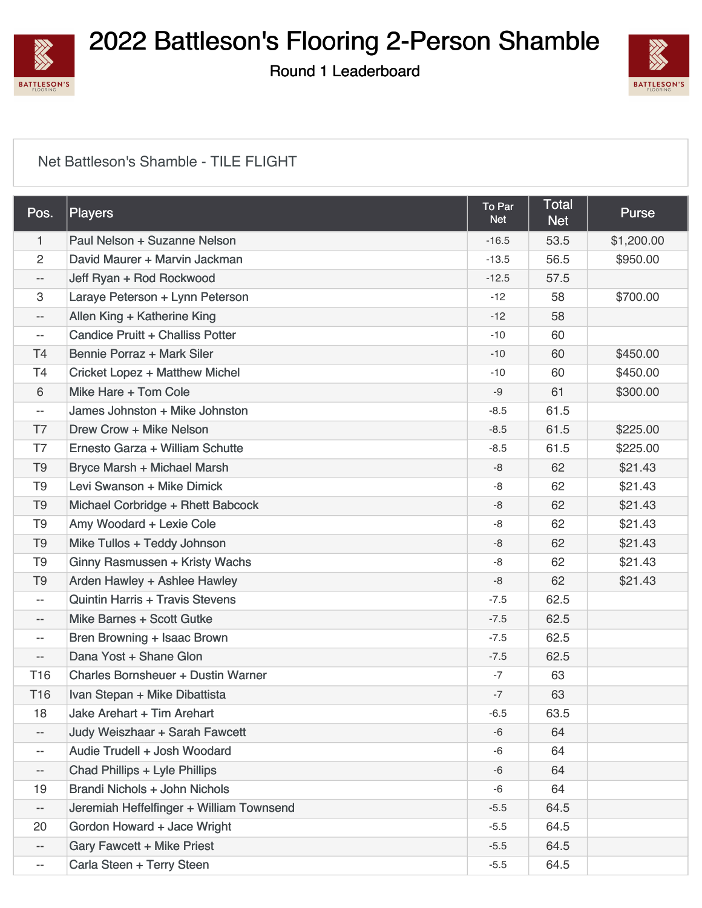

Round 1 Leaderboard



#### [Net Battleson's Shamble - TILE FLIGHT](https://static.golfgenius.com/v2tournaments/8567300182398484739?called_from=&round_index=1)

| Pos.            | Players                                   | To Par<br><b>Net</b> | <b>Total</b><br><b>Net</b> | <b>Purse</b> |
|-----------------|-------------------------------------------|----------------------|----------------------------|--------------|
| $\mathbf{1}$    | Paul Nelson + Suzanne Nelson              | $-16.5$              | 53.5                       | \$1,200.00   |
| $\overline{2}$  | David Maurer + Marvin Jackman             | $-13.5$              | 56.5                       | \$950.00     |
| --              | Jeff Ryan + Rod Rockwood                  | $-12.5$              | 57.5                       |              |
| 3               | Laraye Peterson + Lynn Peterson           | $-12$                | 58                         | \$700.00     |
| $- -$           | Allen King + Katherine King               | $-12$                | 58                         |              |
| --              | Candice Pruitt + Challiss Potter          | $-10$                | 60                         |              |
| T4              | Bennie Porraz + Mark Siler                | $-10$                | 60                         | \$450.00     |
| T <sub>4</sub>  | <b>Cricket Lopez + Matthew Michel</b>     | $-10$                | 60                         | \$450.00     |
| 6               | Mike Hare + Tom Cole                      | -9                   | 61                         | \$300.00     |
| --              | James Johnston + Mike Johnston            | $-8.5$               | 61.5                       |              |
| T7              | Drew Crow + Mike Nelson                   | $-8.5$               | 61.5                       | \$225.00     |
| T7              | Ernesto Garza + William Schutte           | $-8.5$               | 61.5                       | \$225.00     |
| T <sub>9</sub>  | Bryce Marsh + Michael Marsh               | -8                   | 62                         | \$21.43      |
| T <sub>9</sub>  | Levi Swanson + Mike Dimick                | -8                   | 62                         | \$21.43      |
| T <sub>9</sub>  | Michael Corbridge + Rhett Babcock         | $-8$                 | 62                         | \$21.43      |
| T <sub>9</sub>  | Amy Woodard + Lexie Cole                  | -8                   | 62                         | \$21.43      |
| T <sub>9</sub>  | Mike Tullos + Teddy Johnson               | -8                   | 62                         | \$21.43      |
| T <sub>9</sub>  | Ginny Rasmussen + Kristy Wachs            | -8                   | 62                         | \$21.43      |
| T <sub>9</sub>  | Arden Hawley + Ashlee Hawley              | -8                   | 62                         | \$21.43      |
| --              | <b>Quintin Harris + Travis Stevens</b>    | $-7.5$               | 62.5                       |              |
| $- -$           | Mike Barnes + Scott Gutke                 | $-7.5$               | 62.5                       |              |
| $- -$           | Bren Browning + Isaac Brown               | $-7.5$               | 62.5                       |              |
| --              | Dana Yost + Shane Glon                    | $-7.5$               | 62.5                       |              |
| T <sub>16</sub> | <b>Charles Bornsheuer + Dustin Warner</b> | $-7$                 | 63                         |              |
| T16             | Ivan Stepan + Mike Dibattista             | $-7$                 | 63                         |              |
| 18              | Jake Arehart + Tim Arehart                | $-6.5$               | 63.5                       |              |
| $- -$           | Judy Weiszhaar + Sarah Fawcett            | $-6$                 | 64                         |              |
| --              | Audie Trudell + Josh Woodard              | -6                   | 64                         |              |
| --              | <b>Chad Phillips + Lyle Phillips</b>      | -6                   | 64                         |              |
| 19              | Brandi Nichols + John Nichols             | -6                   | 64                         |              |
| --              | Jeremiah Heffelfinger + William Townsend  | $-5.5$               | 64.5                       |              |
| 20              | Gordon Howard + Jace Wright               | $-5.5$               | 64.5                       |              |
| $- -$           | <b>Gary Fawcett + Mike Priest</b>         | $-5.5$               | 64.5                       |              |
| --              | Carla Steen + Terry Steen                 | $-5.5$               | 64.5                       |              |